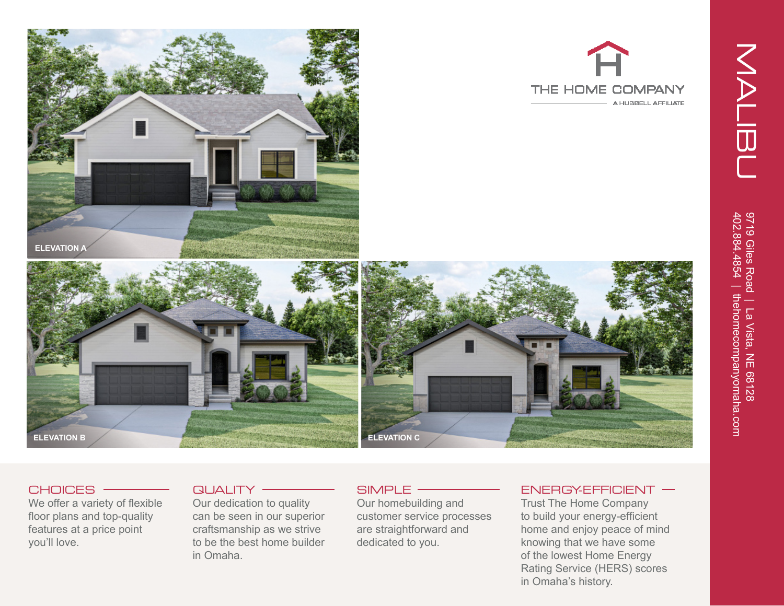





## CHOICES -

We offer a variety of flexible floor plans and top-quality features at a price point you'll love.

## $QUALITY$  –

Our dedication to quality can be seen in our superior craftsmanship as we strive to be the best home builder in Omaha.

# SIMPLE -

Our homebuilding and customer service processes are straightforward and dedicated to you.

### $ENERGYEFFICIENT$  –

THE HOME COMPANY

A HUBBELL AFFILIATE

Trust The Home Company to build your energy-efficient home and enjoy peace of mind knowing that we have some of the lowest Home Energy Rating Service (HERS) scores in Omaha's history.